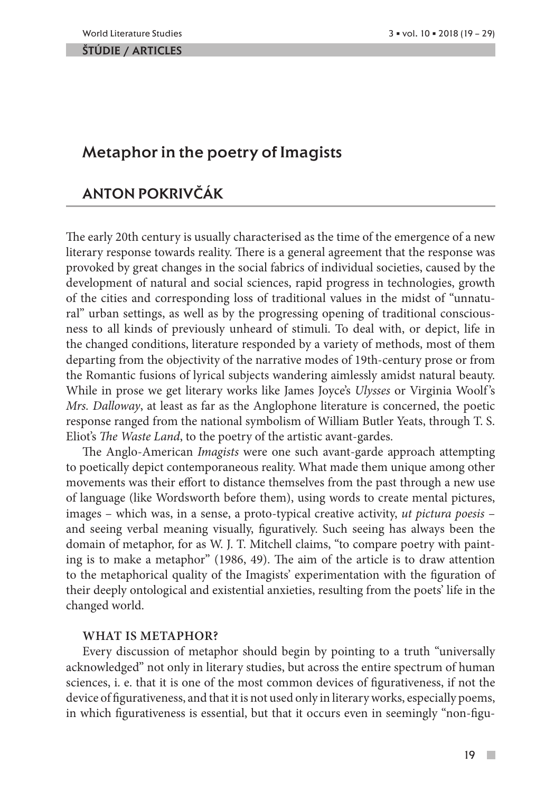#### ŠTÚDIE / ARTicles

# Metaphor in the poetry of Imagists

# Anton Pokrivčák

The early 20th century is usually characterised as the time of the emergence of a new literary response towards reality. There is a general agreement that the response was provoked by great changes in the social fabrics of individual societies, caused by the development of natural and social sciences, rapid progress in technologies, growth of the cities and corresponding loss of traditional values in the midst of "unnatural" urban settings, as well as by the progressing opening of traditional consciousness to all kinds of previously unheard of stimuli. To deal with, or depict, life in the changed conditions, literature responded by a variety of methods, most of them departing from the objectivity of the narrative modes of 19th-century prose or from the Romantic fusions of lyrical subjects wandering aimlessly amidst natural beauty. While in prose we get literary works like James Joyce's *Ulysses* or Virginia Woolf 's *Mrs. Dalloway*, at least as far as the Anglophone literature is concerned, the poetic response ranged from the national symbolism of William Butler Yeats, through T. S. Eliot's *The Waste Land*, to the poetry of the artistic avant-gardes.

The Anglo-American *Imagists* were one such avant-garde approach attempting to poetically depict contemporaneous reality. What made them unique among other movements was their effort to distance themselves from the past through a new use of language (like Wordsworth before them), using words to create mental pictures, images – which was, in a sense, a proto-typical creative activity, *ut pictura poesis* – and seeing verbal meaning visually, figuratively. Such seeing has always been the domain of metaphor, for as W. J. T. Mitchell claims, "to compare poetry with painting is to make a metaphor" (1986, 49). The aim of the article is to draw attention to the metaphorical quality of the Imagists' experimentation with the figuration of their deeply ontological and existential anxieties, resulting from the poets' life in the changed world.

## **What is metaphor?**

Every discussion of metaphor should begin by pointing to a truth "universally acknowledged" not only in literary studies, but across the entire spectrum of human sciences, i. e. that it is one of the most common devices of figurativeness, if not the device of figurativeness, and that it is not used only in literary works, especially poems, in which figurativeness is essential, but that it occurs even in seemingly "non-figu-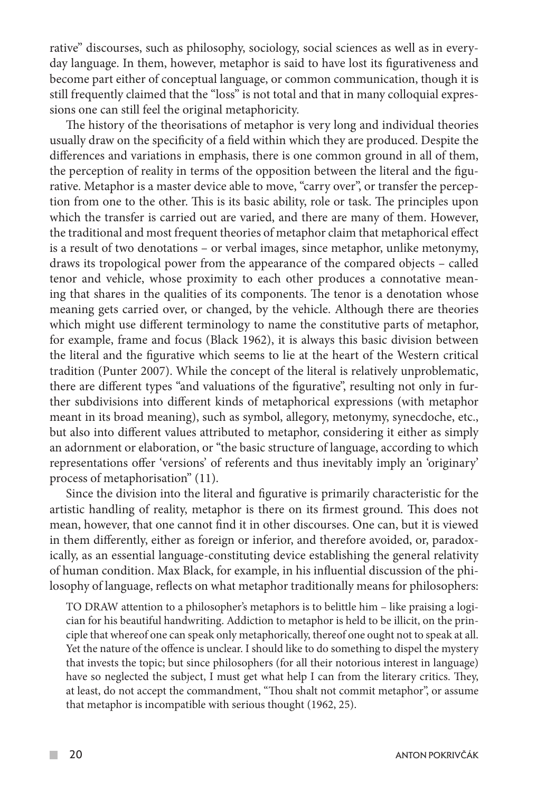rative" discourses, such as philosophy, sociology, social sciences as well as in everyday language. In them, however, metaphor is said to have lost its figurativeness and become part either of conceptual language, or common communication, though it is still frequently claimed that the "loss" is not total and that in many colloquial expressions one can still feel the original metaphoricity.

The history of the theorisations of metaphor is very long and individual theories usually draw on the specificity of a field within which they are produced. Despite the differences and variations in emphasis, there is one common ground in all of them, the perception of reality in terms of the opposition between the literal and the figurative. Metaphor is a master device able to move, "carry over", or transfer the perception from one to the other. This is its basic ability, role or task. The principles upon which the transfer is carried out are varied, and there are many of them. However, the traditional and most frequent theories of metaphor claim that metaphorical effect is a result of two denotations – or verbal images, since metaphor, unlike metonymy, draws its tropological power from the appearance of the compared objects – called tenor and vehicle, whose proximity to each other produces a connotative meaning that shares in the qualities of its components. The tenor is a denotation whose meaning gets carried over, or changed, by the vehicle. Although there are theories which might use different terminology to name the constitutive parts of metaphor, for example, frame and focus (Black 1962), it is always this basic division between the literal and the figurative which seems to lie at the heart of the Western critical tradition (Punter 2007). While the concept of the literal is relatively unproblematic, there are different types "and valuations of the figurative", resulting not only in further subdivisions into different kinds of metaphorical expressions (with metaphor meant in its broad meaning), such as symbol, allegory, metonymy, synecdoche, etc., but also into different values attributed to metaphor, considering it either as simply an adornment or elaboration, or "the basic structure of language, according to which representations offer 'versions' of referents and thus inevitably imply an 'originary' process of metaphorisation" (11).

Since the division into the literal and figurative is primarily characteristic for the artistic handling of reality, metaphor is there on its firmest ground. This does not mean, however, that one cannot find it in other discourses. One can, but it is viewed in them differently, either as foreign or inferior, and therefore avoided, or, paradoxically, as an essential language-constituting device establishing the general relativity of human condition. Max Black, for example, in his influential discussion of the philosophy of language, reflects on what metaphor traditionally means for philosophers:

TO DRAW attention to a philosopher's metaphors is to belittle him – like praising a logician for his beautiful handwriting. Addiction to metaphor is held to be illicit, on the principle that whereof one can speak only metaphorically, thereof one ought not to speak at all. Yet the nature of the offence is unclear. I should like to do something to dispel the mystery that invests the topic; but since philosophers (for all their notorious interest in language) have so neglected the subject, I must get what help I can from the literary critics. They, at least, do not accept the commandment, "Thou shalt not commit metaphor", or assume that metaphor is incompatible with serious thought (1962, 25).

 $\mathcal{C}^{\mathcal{A}}$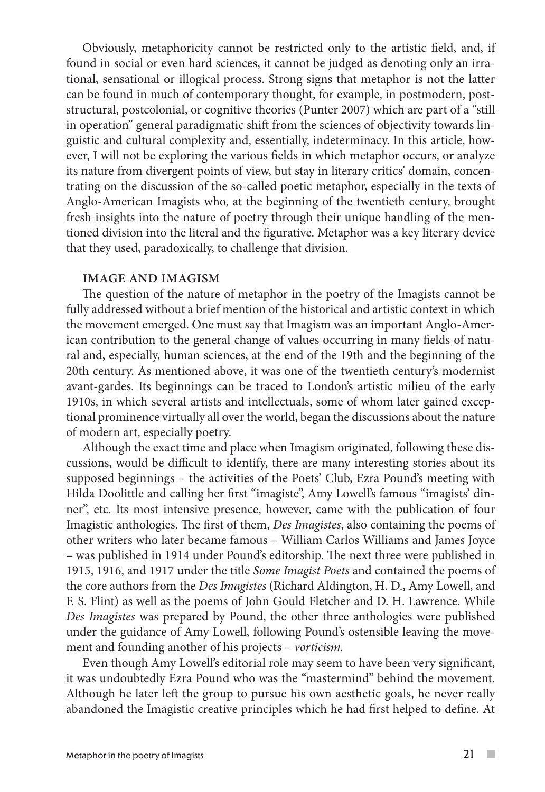Obviously, metaphoricity cannot be restricted only to the artistic field, and, if found in social or even hard sciences, it cannot be judged as denoting only an irrational, sensational or illogical process. Strong signs that metaphor is not the latter can be found in much of contemporary thought, for example, in postmodern, poststructural, postcolonial, or cognitive theories (Punter 2007) which are part of a "still in operation" general paradigmatic shift from the sciences of objectivity towards linguistic and cultural complexity and, essentially, indeterminacy. In this article, however, I will not be exploring the various fields in which metaphor occurs, or analyze its nature from divergent points of view, but stay in literary critics' domain, concentrating on the discussion of the so-called poetic metaphor, especially in the texts of Anglo-American Imagists who, at the beginning of the twentieth century, brought fresh insights into the nature of poetry through their unique handling of the mentioned division into the literal and the figurative. Metaphor was a key literary device that they used, paradoxically, to challenge that division.

## **Image and Imagism**

The question of the nature of metaphor in the poetry of the Imagists cannot be fully addressed without a brief mention of the historical and artistic context in which the movement emerged. One must say that Imagism was an important Anglo-American contribution to the general change of values occurring in many fields of natural and, especially, human sciences, at the end of the 19th and the beginning of the 20th century. As mentioned above, it was one of the twentieth century's modernist avant-gardes. Its beginnings can be traced to London's artistic milieu of the early 1910s, in which several artists and intellectuals, some of whom later gained exceptional prominence virtually all over the world, began the discussions about the nature of modern art, especially poetry.

Although the exact time and place when Imagism originated, following these discussions, would be difficult to identify, there are many interesting stories about its supposed beginnings – the activities of the Poets' Club, Ezra Pound's meeting with Hilda Doolittle and calling her first "imagiste", Amy Lowell's famous "imagists' dinner", etc. Its most intensive presence, however, came with the publication of four Imagistic anthologies. The first of them, *Des Imagistes*, also containing the poems of other writers who later became famous – William Carlos Williams and James Joyce – was published in 1914 under Pound's editorship. The next three were published in 1915, 1916, and 1917 under the title *Some Imagist Poets* and contained the poems of the core authors from the *Des Imagistes* (Richard Aldington, H. D., Amy Lowell, and F. S. Flint) as well as the poems of John Gould Fletcher and D. H. Lawrence. While *Des Imagistes* was prepared by Pound, the other three anthologies were published under the guidance of Amy Lowell, following Pound's ostensible leaving the movement and founding another of his projects – *vorticism.* 

Even though Amy Lowell's editorial role may seem to have been very significant, it was undoubtedly Ezra Pound who was the "mastermind" behind the movement. Although he later left the group to pursue his own aesthetic goals, he never really abandoned the Imagistic creative principles which he had first helped to define. At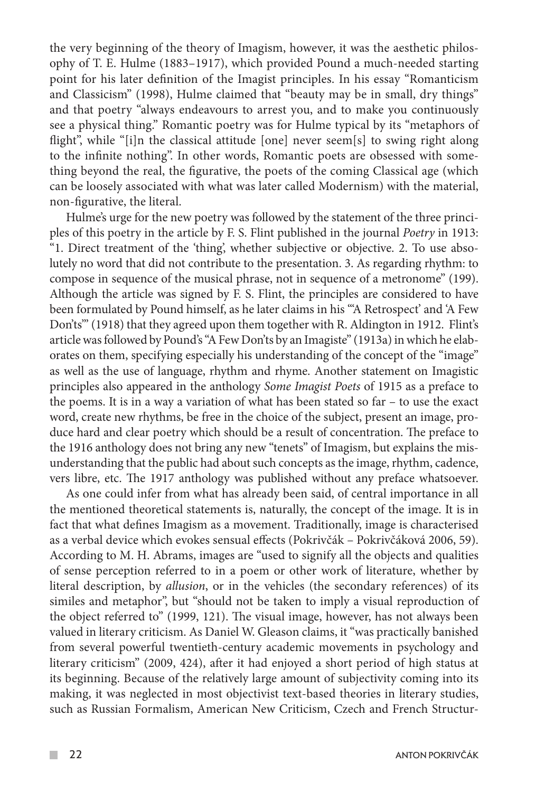the very beginning of the theory of Imagism, however, it was the aesthetic philosophy of T. E. Hulme (1883–1917), which provided Pound a much-needed starting point for his later definition of the Imagist principles. In his essay "Romanticism and Classicism" (1998), Hulme claimed that "beauty may be in small, dry things" and that poetry "always endeavours to arrest you, and to make you continuously see a physical thing." Romantic poetry was for Hulme typical by its "metaphors of flight", while "[i]n the classical attitude  $[one]$  never seem $[s]$  to swing right along to the infinite nothing". In other words, Romantic poets are obsessed with something beyond the real, the figurative, the poets of the coming Classical age (which can be loosely associated with what was later called Modernism) with the material, non-figurative, the literal.

Hulme's urge for the new poetry was followed by the statement of the three principles of this poetry in the article by F. S. Flint published in the journal *Poetry* in 1913: "1. Direct treatment of the 'thing', whether subjective or objective. 2. To use absolutely no word that did not contribute to the presentation. 3. As regarding rhythm: to compose in sequence of the musical phrase, not in sequence of a metronome" (199). Although the article was signed by F. S. Flint, the principles are considered to have been formulated by Pound himself, as he later claims in his "'A Retrospect' and 'A Few Don'ts'" (1918) that they agreed upon them together with R. Aldington in 1912. Flint's article was followed by Pound's "A Few Don'ts by an Imagiste" (1913a) in which he elaborates on them, specifying especially his understanding of the concept of the "image" as well as the use of language, rhythm and rhyme. Another statement on Imagistic principles also appeared in the anthology *Some Imagist Poets* of 1915 as a preface to the poems. It is in a way a variation of what has been stated so far – to use the exact word, create new rhythms, be free in the choice of the subject, present an image, produce hard and clear poetry which should be a result of concentration. The preface to the 1916 anthology does not bring any new "tenets" of Imagism, but explains the misunderstanding that the public had about such concepts as the image, rhythm, cadence, vers libre, etc. The 1917 anthology was published without any preface whatsoever.

As one could infer from what has already been said, of central importance in all the mentioned theoretical statements is, naturally, the concept of the image. It is in fact that what defines Imagism as a movement. Traditionally, image is characterised as a verbal device which evokes sensual effects (Pokrivčák – Pokrivčáková 2006, 59). According to M. H. Abrams, images are "used to signify all the objects and qualities of sense perception referred to in a poem or other work of literature, whether by literal description, by *allusion*, or in the vehicles (the secondary references) of its similes and metaphor", but "should not be taken to imply a visual reproduction of the object referred to" (1999, 121). The visual image, however, has not always been valued in literary criticism. As Daniel W. Gleason claims, it "was practically banished from several powerful twentieth-century academic movements in psychology and literary criticism" (2009, 424), after it had enjoyed a short period of high status at its beginning. Because of the relatively large amount of subjectivity coming into its making, it was neglected in most objectivist text-based theories in literary studies, such as Russian Formalism, American New Criticism, Czech and French Structur-

 $\mathcal{L}^{\mathcal{A}}$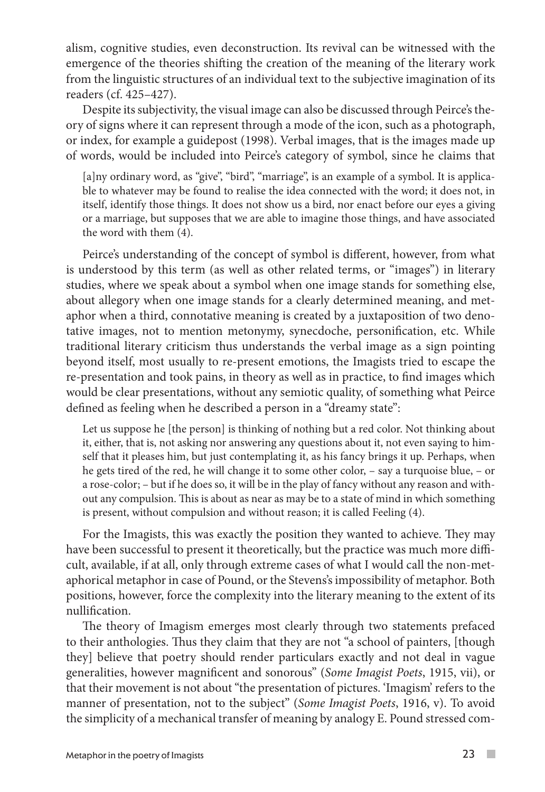alism, cognitive studies, even deconstruction. Its revival can be witnessed with the emergence of the theories shifting the creation of the meaning of the literary work from the linguistic structures of an individual text to the subjective imagination of its readers (cf. 425–427).

Despite its subjectivity, the visual image can also be discussed through Peirce's theory of signs where it can represent through a mode of the icon, such as a photograph, or index, for example a guidepost (1998). Verbal images, that is the images made up of words, would be included into Peirce's category of symbol, since he claims that

[a]ny ordinary word, as "give", "bird", "marriage", is an example of a symbol. It is applicable to whatever may be found to realise the idea connected with the word; it does not, in itself, identify those things. It does not show us a bird, nor enact before our eyes a giving or a marriage, but supposes that we are able to imagine those things, and have associated the word with them (4).

Peirce's understanding of the concept of symbol is different, however, from what is understood by this term (as well as other related terms, or "images") in literary studies, where we speak about a symbol when one image stands for something else, about allegory when one image stands for a clearly determined meaning, and metaphor when a third, connotative meaning is created by a juxtaposition of two denotative images, not to mention metonymy, synecdoche, personification, etc. While traditional literary criticism thus understands the verbal image as a sign pointing beyond itself, most usually to re-present emotions, the Imagists tried to escape the re-presentation and took pains, in theory as well as in practice, to find images which would be clear presentations, without any semiotic quality, of something what Peirce defined as feeling when he described a person in a "dreamy state":

Let us suppose he [the person] is thinking of nothing but a red color. Not thinking about it, either, that is, not asking nor answering any questions about it, not even saying to himself that it pleases him, but just contemplating it, as his fancy brings it up. Perhaps, when he gets tired of the red, he will change it to some other color, – say a turquoise blue, – or a rose-color; – but if he does so, it will be in the play of fancy without any reason and without any compulsion. This is about as near as may be to a state of mind in which something is present, without compulsion and without reason; it is called Feeling (4).

For the Imagists, this was exactly the position they wanted to achieve. They may have been successful to present it theoretically, but the practice was much more difficult, available, if at all, only through extreme cases of what I would call the non-metaphorical metaphor in case of Pound, or the Stevens's impossibility of metaphor. Both positions, however, force the complexity into the literary meaning to the extent of its nullification.

The theory of Imagism emerges most clearly through two statements prefaced to their anthologies. Thus they claim that they are not "a school of painters, [though they] believe that poetry should render particulars exactly and not deal in vague generalities, however magnificent and sonorous" (*Some Imagist Poets*, 1915, vii), or that their movement is not about "the presentation of pictures. 'Imagism' refers to the manner of presentation, not to the subject" (*Some Imagist Poets*, 1916, v). To avoid the simplicity of a mechanical transfer of meaning by analogy E. Pound stressed com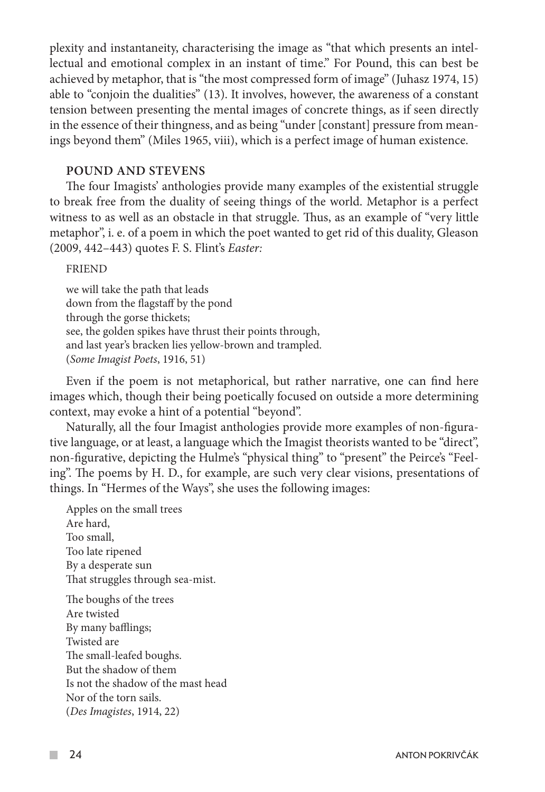plexity and instantaneity, characterising the image as "that which presents an intellectual and emotional complex in an instant of time." For Pound, this can best be achieved by metaphor, that is "the most compressed form of image" (Juhasz 1974, 15) able to "conjoin the dualities" (13). It involves, however, the awareness of a constant tension between presenting the mental images of concrete things, as if seen directly in the essence of their thingness, and as being "under [constant] pressure from meanings beyond them" (Miles 1965, viii), which is a perfect image of human existence.

## **Pound and Stevens**

The four Imagists' anthologies provide many examples of the existential struggle to break free from the duality of seeing things of the world. Metaphor is a perfect witness to as well as an obstacle in that struggle. Thus, as an example of "very little metaphor", i. e. of a poem in which the poet wanted to get rid of this duality, Gleason (2009, 442–443) quotes F. S. Flint's *Easter:*

## FRIEND

we will take the path that leads down from the flagstaff by the pond through the gorse thickets; see, the golden spikes have thrust their points through, and last year's bracken lies yellow-brown and trampled. (*Some Imagist Poets*, 1916, 51)

Even if the poem is not metaphorical, but rather narrative, one can find here images which, though their being poetically focused on outside a more determining context, may evoke a hint of a potential "beyond".

Naturally, all the four Imagist anthologies provide more examples of non-figurative language, or at least, a language which the Imagist theorists wanted to be "direct", non-figurative, depicting the Hulme's "physical thing" to "present" the Peirce's "Feeling". The poems by H. D., for example, are such very clear visions, presentations of things. In "Hermes of the Ways", she uses the following images:

Apples on the small trees Are hard, Too small, Too late ripened By a desperate sun That struggles through sea-mist.

The boughs of the trees Are twisted By many bafflings; Twisted are The small-leafed boughs. But the shadow of them Is not the shadow of the mast head Nor of the torn sails. (*Des Imagistes*, 1914, 22)

 $\sim$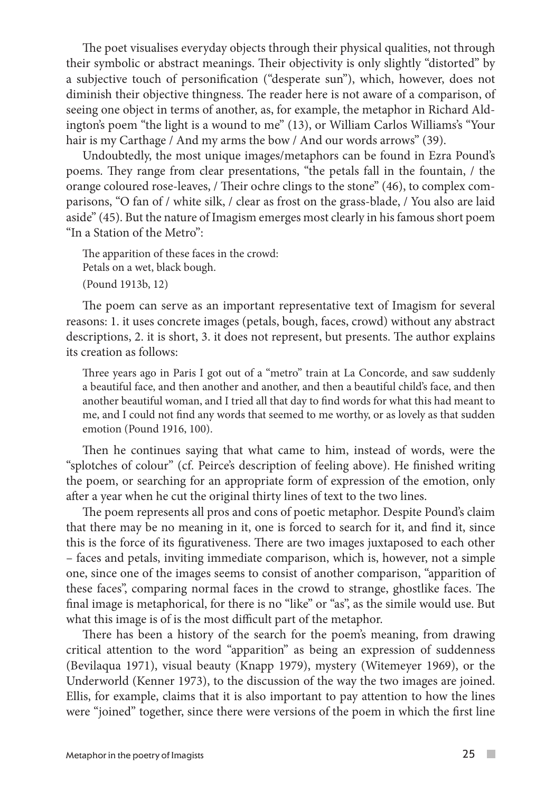The poet visualises everyday objects through their physical qualities, not through their symbolic or abstract meanings. Their objectivity is only slightly "distorted" by a subjective touch of personification ("desperate sun"), which, however, does not diminish their objective thingness. The reader here is not aware of a comparison, of seeing one object in terms of another, as, for example, the metaphor in Richard Aldington's poem "the light is a wound to me" (13), or William Carlos Williams's "Your hair is my Carthage / And my arms the bow / And our words arrows" (39).

Undoubtedly, the most unique images/metaphors can be found in Ezra Pound's poems. They range from clear presentations, "the petals fall in the fountain, / the orange coloured rose-leaves, / Their ochre clings to the stone" (46), to complex comparisons, "O fan of / white silk, / clear as frost on the grass-blade, / You also are laid aside" (45). But the nature of Imagism emerges most clearly in his famous short poem "In a Station of the Metro":

The apparition of these faces in the crowd: Petals on a wet, black bough. (Pound 1913b, 12)

The poem can serve as an important representative text of Imagism for several reasons: 1. it uses concrete images (petals, bough, faces, crowd) without any abstract descriptions, 2. it is short, 3. it does not represent, but presents. The author explains its creation as follows:

Three years ago in Paris I got out of a "metro" train at La Concorde, and saw suddenly a beautiful face, and then another and another, and then a beautiful child's face, and then another beautiful woman, and I tried all that day to find words for what this had meant to me, and I could not find any words that seemed to me worthy, or as lovely as that sudden emotion (Pound 1916, 100).

Then he continues saying that what came to him, instead of words, were the "splotches of colour" (cf. Peirce's description of feeling above). He finished writing the poem, or searching for an appropriate form of expression of the emotion, only after a year when he cut the original thirty lines of text to the two lines.

The poem represents all pros and cons of poetic metaphor. Despite Pound's claim that there may be no meaning in it, one is forced to search for it, and find it, since this is the force of its figurativeness. There are two images juxtaposed to each other – faces and petals, inviting immediate comparison, which is, however, not a simple one, since one of the images seems to consist of another comparison, "apparition of these faces", comparing normal faces in the crowd to strange, ghostlike faces. The final image is metaphorical, for there is no "like" or "as", as the simile would use. But what this image is of is the most difficult part of the metaphor.

There has been a history of the search for the poem's meaning, from drawing critical attention to the word "apparition" as being an expression of suddenness (Bevilaqua 1971), visual beauty (Knapp 1979), mystery (Witemeyer 1969), or the Underworld (Kenner 1973), to the discussion of the way the two images are joined. Ellis, for example, claims that it is also important to pay attention to how the lines were "joined" together, since there were versions of the poem in which the first line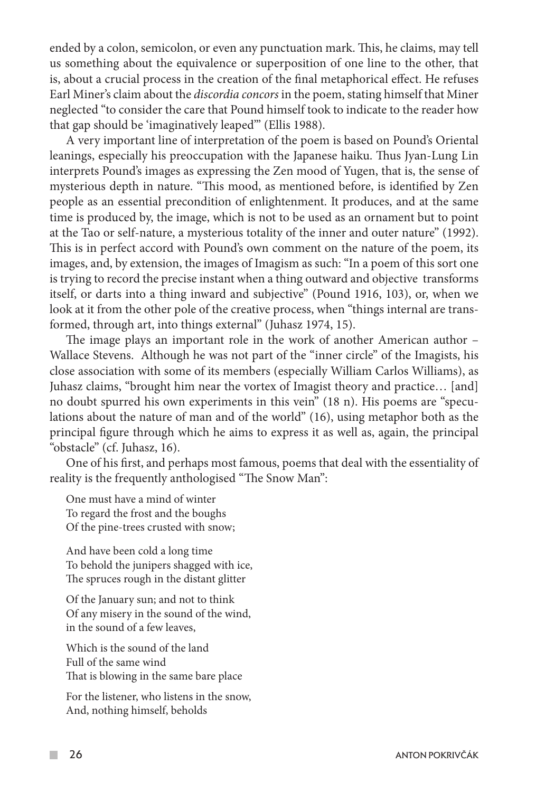ended by a colon, semicolon, or even any punctuation mark. This, he claims, may tell us something about the equivalence or superposition of one line to the other, that is, about a crucial process in the creation of the final metaphorical effect. He refuses Earl Miner's claim about the *discordia concors* in the poem, stating himself that Miner neglected "to consider the care that Pound himself took to indicate to the reader how that gap should be 'imaginatively leaped'" (Ellis 1988).

A very important line of interpretation of the poem is based on Pound's Oriental leanings, especially his preoccupation with the Japanese haiku. Thus Jyan-Lung Lin interprets Pound's images as expressing the Zen mood of Yugen, that is, the sense of mysterious depth in nature. "This mood, as mentioned before, is identified by Zen people as an essential precondition of enlightenment. It produces, and at the same time is produced by, the image, which is not to be used as an ornament but to point at the Tao or self-nature, a mysterious totality of the inner and outer nature" (1992). This is in perfect accord with Pound's own comment on the nature of the poem, its images, and, by extension, the images of Imagism as such: "In a poem of this sort one is trying to record the precise instant when a thing outward and objective transforms itself, or darts into a thing inward and subjective" (Pound 1916, 103), or, when we look at it from the other pole of the creative process, when "things internal are transformed, through art, into things external" (Juhasz 1974, 15).

The image plays an important role in the work of another American author – Wallace Stevens. Although he was not part of the "inner circle" of the Imagists, his close association with some of its members (especially William Carlos Williams), as Juhasz claims, "brought him near the vortex of Imagist theory and practice… [and] no doubt spurred his own experiments in this vein" (18 n). His poems are "speculations about the nature of man and of the world" (16), using metaphor both as the principal figure through which he aims to express it as well as, again, the principal "obstacle" (cf. Juhasz, 16).

One of his first, and perhaps most famous, poems that deal with the essentiality of reality is the frequently anthologised "The Snow Man":

One must have a mind of winter To regard the frost and the boughs Of the pine-trees crusted with snow;

And have been cold a long time To behold the junipers shagged with ice, The spruces rough in the distant glitter

Of the January sun; and not to think Of any misery in the sound of the wind, in the sound of a few leaves,

Which is the sound of the land Full of the same wind That is blowing in the same bare place

For the listener, who listens in the snow, And, nothing himself, beholds

 $\mathcal{L}^{\mathcal{A}}$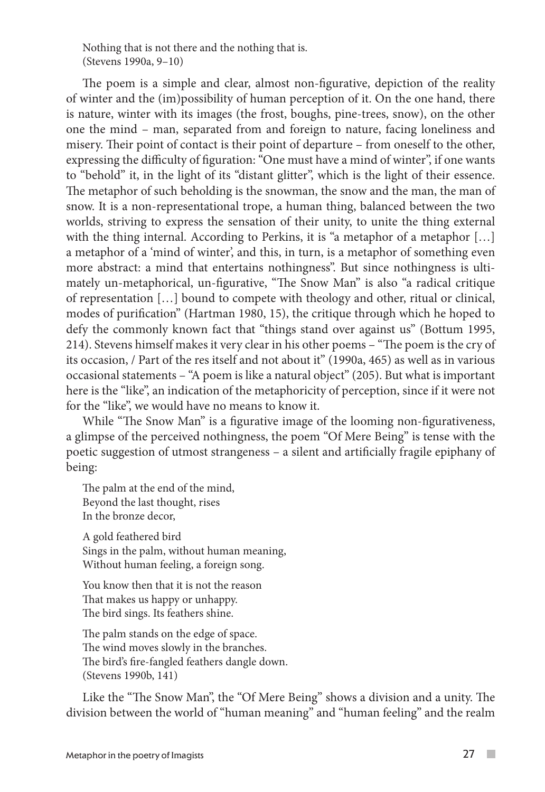Nothing that is not there and the nothing that is. (Stevens 1990a, 9–10)

The poem is a simple and clear, almost non-figurative, depiction of the reality of winter and the (im)possibility of human perception of it. On the one hand, there is nature, winter with its images (the frost, boughs, pine-trees, snow), on the other one the mind – man, separated from and foreign to nature, facing loneliness and misery. Their point of contact is their point of departure – from oneself to the other, expressing the difficulty of figuration: "One must have a mind of winter", if one wants to "behold" it, in the light of its "distant glitter", which is the light of their essence. The metaphor of such beholding is the snowman, the snow and the man, the man of snow. It is a non-representational trope, a human thing, balanced between the two worlds, striving to express the sensation of their unity, to unite the thing external with the thing internal. According to Perkins, it is "a metaphor of a metaphor [...] a metaphor of a 'mind of winter', and this, in turn, is a metaphor of something even more abstract: a mind that entertains nothingness". But since nothingness is ultimately un-metaphorical, un-figurative, "The Snow Man" is also "a radical critique of representation […] bound to compete with theology and other, ritual or clinical, modes of purification" (Hartman 1980, 15), the critique through which he hoped to defy the commonly known fact that "things stand over against us" (Bottum 1995, 214). Stevens himself makes it very clear in his other poems – "The poem is the cry of its occasion, / Part of the res itself and not about it" (1990a, 465) as well as in various occasional statements – "A poem is like a natural object" (205). But what is important here is the "like", an indication of the metaphoricity of perception, since if it were not for the "like", we would have no means to know it.

While "The Snow Man" is a figurative image of the looming non-figurativeness, a glimpse of the perceived nothingness, the poem "Of Mere Being" is tense with the poetic suggestion of utmost strangeness – a silent and artificially fragile epiphany of being:

The palm at the end of the mind, Beyond the last thought, rises In the bronze decor,

A gold feathered bird Sings in the palm, without human meaning, Without human feeling, a foreign song.

You know then that it is not the reason That makes us happy or unhappy. The bird sings. Its feathers shine.

The palm stands on the edge of space. The wind moves slowly in the branches. The bird's fire-fangled feathers dangle down. (Stevens 1990b, 141)

Like the "The Snow Man", the "Of Mere Being" shows a division and a unity. The division between the world of "human meaning" and "human feeling" and the realm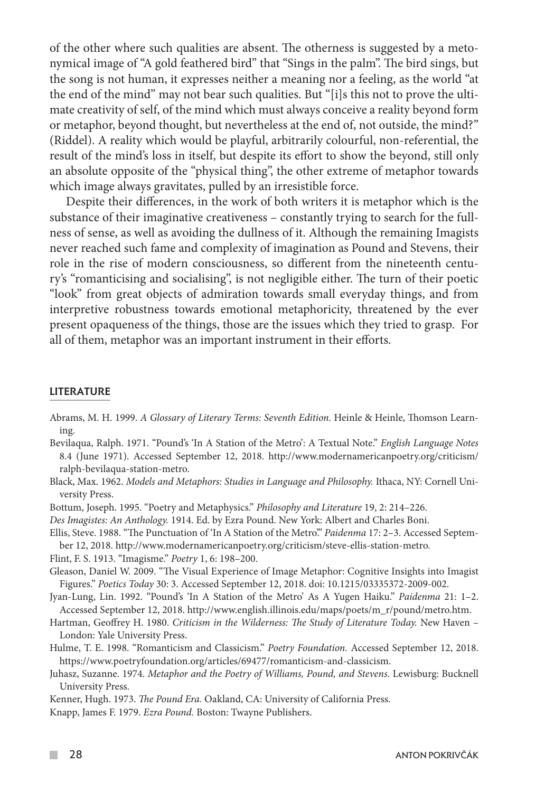of the other where such qualities are absent. The otherness is suggested by a metonymical image of "A gold feathered bird" that "Sings in the palm". The bird sings, but the song is not human, it expresses neither a meaning nor a feeling, as the world "at the end of the mind" may not bear such qualities. But "[i]s this not to prove the ultimate creativity of self, of the mind which must always conceive a reality beyond form or metaphor, beyond thought, but nevertheless at the end of, not outside, the mind?" (Riddel). A reality which would be playful, arbitrarily colourful, non-referential, the result of the mind's loss in itself, but despite its effort to show the beyond, still only an absolute opposite of the "physical thing", the other extreme of metaphor towards which image always gravitates, pulled by an irresistible force.

Despite their differences, in the work of both writers it is metaphor which is the substance of their imaginative creativeness – constantly trying to search for the fullness of sense, as well as avoiding the dullness of it. Although the remaining Imagists never reached such fame and complexity of imagination as Pound and Stevens, their role in the rise of modern consciousness, so different from the nineteenth century's "romanticising and socialising", is not negligible either. The turn of their poetic "look" from great objects of admiration towards small everyday things, and from interpretive robustness towards emotional metaphoricity, threatened by the ever present opaqueness of the things, those are the issues which they tried to grasp. For all of them, metaphor was an important instrument in their efforts.

### LITERATURE

- Abrams, M. H. 1999. *A Glossary of Literary Terms: Seventh Edition.* Heinle & Heinle, Thomson Learning.
- Bevilaqua, Ralph. 1971. "Pound's 'In A Station of the Metro': A Textual Note." *English Language Notes*  8.4 (June 1971). Accessed September 12, 2018. http://www.modernamericanpoetry.org/criticism/ ralph-bevilaqua-station-metro.
- Black, Max. 1962. *Models and Metaphors: Studies in Language and Philosophy. Ithaca, NY: Cornell Uni*versity Press.
- Bottum, Joseph. 1995. "Poetry and Metaphysics." *Philosophy and Literature* 19, 2: 214–226.
- *Des Imagistes: An Anthology.* 1914. Ed. by Ezra Pound. New York: Albert and Charles Boni.
- Ellis, Steve. 1988. "The Punctuation of 'In A Station of the Metro'." *Paidenma* 17: 2–3. Accessed September 12, 2018. http://www.modernamericanpoetry.org/criticism/steve-ellis-station-metro.

Flint, F. S. 1913. "Imagisme." *Poetry* 1, 6: 198–200.

- Gleason, Daniel W. 2009. "The Visual Experience of Image Metaphor: Cognitive Insights into Imagist Figures." *Poetics Today* 30: 3. Accessed September 12, 2018. doi: 10.1215/03335372-2009-002.
- Jyan-Lung, Lin. 1992. "Pound's 'In A Station of the Metro' As A Yugen Haiku." *Paidenma* 21: 1–2. Accessed September 12, 2018. http://www.english.illinois.edu/maps/poets/m\_r/pound/metro.htm.
- Hartman, Geoffrey H. 1980. *Criticism in the Wilderness: The Study of Literature Today.* New Haven London: Yale University Press.
- Hulme, T. E. 1998. "Romanticism and Classicism." *Poetry Foundation.* Accessed September 12, 2018. https://www.poetryfoundation.org/articles/69477/romanticism-and-classicism.
- Juhasz, Suzanne. 1974. *Metaphor and the Poetry of Williams, Pound, and Stevens. Lewisburg: Bucknell* University Press.
- Kenner, Hugh. 1973. *The Pound Era.* Oakland, CA: University of California Press.

Knapp, James F. 1979. *Ezra Pound.* Boston: Twayne Publishers.

 $\mathcal{L}^{\mathcal{A}}$